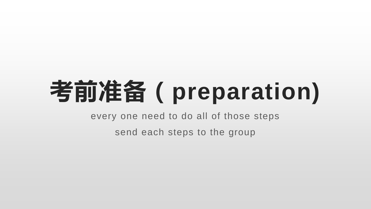## **考前准备(preparation)**

every one need to do all of those steps

send each steps to the group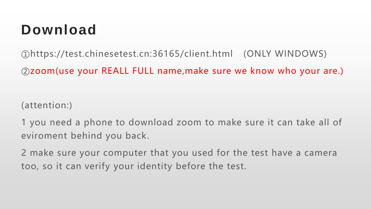## **Download**

①https://test.chinesetest.cn:36165/client.html (ONLY WINDOWS)

②zoom(use your REALL FULL name,make sure we know who your are.)

(attention:)

1 you need a phone to download zoom to make sure it can take all of eviroment behind you back.

2 make sure your computer that you used for the test have a camera too, so it can verify your identity before the test.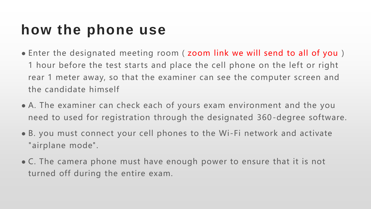## **how the phone use**

- Enter the designated meeting room (zoom link we will send to all of you ) 1 hour before the test starts and place the cell phone on the left or right rear 1 meter away, so that the examiner can see the computer screen and the candidate himself
- A. The examiner can check each of yours exam environment and the you need to used for registration through the designated 360-degree software.
- B. you must connect your cell phones to the Wi-Fi network and activate "airplane mode".
- C. The camera phone must have enough power to ensure that it is not turned off during the entire exam.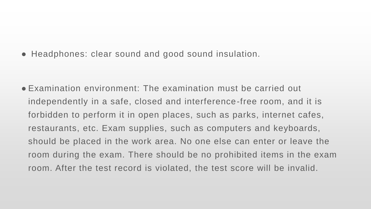● Headphones: clear sound and good sound insulation.

● Examination environment: The examination must be carried out independently in a safe, closed and interference-free room, and it is forbidden to perform it in open places, such as parks, internet cafes, restaurants, etc. Exam supplies, such as computers and keyboards, should be placed in the work area. No one else can enter or leave the room during the exam. There should be no prohibited items in the exam room. After the test record is violated, the test score will be invalid.